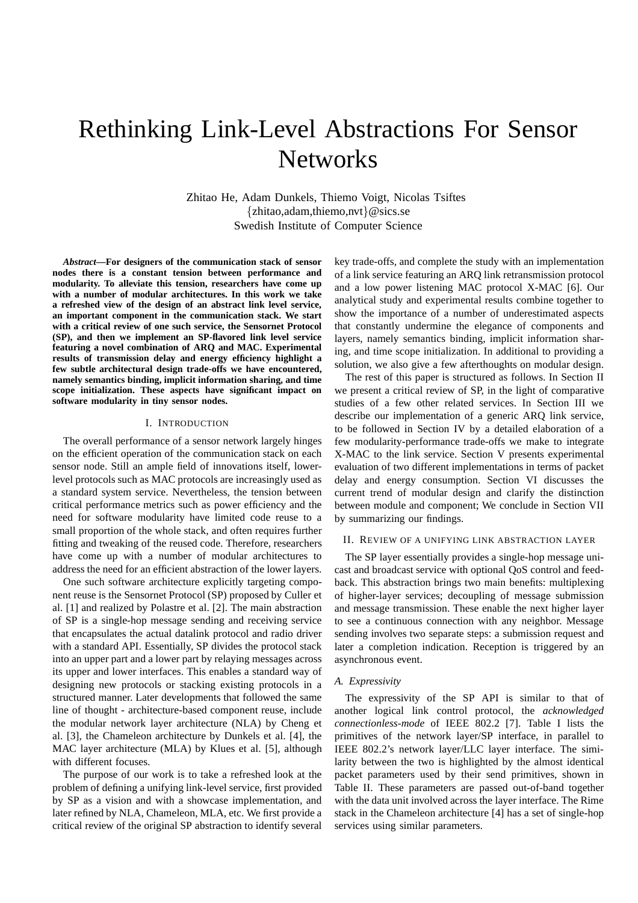# Rethinking Link-Level Abstractions For Sensor **Networks**

Zhitao He, Adam Dunkels, Thiemo Voigt, Nicolas Tsiftes {zhitao,adam,thiemo,nvt}@sics.se Swedish Institute of Computer Science

*Abstract***—For designers of the communication stack of sensor nodes there is a constant tension between performance and modularity. To alleviate this tension, researchers have come up with a number of modular architectures. In this work we take a refreshed view of the design of an abstract link level service, an important component in the communication stack. We start with a critical review of one such service, the Sensornet Protocol (SP), and then we implement an SP-flavored link level service featuring a novel combination of ARQ and MAC. Experimental results of transmission delay and energy efficiency highlight a few subtle architectural design trade-offs we have encountered, namely semantics binding, implicit information sharing, and time scope initialization. These aspects have significant impact on software modularity in tiny sensor nodes.**

#### I. INTRODUCTION

The overall performance of a sensor network largely hinges on the efficient operation of the communication stack on each sensor node. Still an ample field of innovations itself, lowerlevel protocols such as MAC protocols are increasingly used as a standard system service. Nevertheless, the tension between critical performance metrics such as power efficiency and the need for software modularity have limited code reuse to a small proportion of the whole stack, and often requires further fitting and tweaking of the reused code. Therefore, researchers have come up with a number of modular architectures to address the need for an efficient abstraction of the lower layers.

One such software architecture explicitly targeting component reuse is the Sensornet Protocol (SP) proposed by Culler et al. [1] and realized by Polastre et al. [2]. The main abstraction of SP is a single-hop message sending and receiving service that encapsulates the actual datalink protocol and radio driver with a standard API. Essentially, SP divides the protocol stack into an upper part and a lower part by relaying messages across its upper and lower interfaces. This enables a standard way of designing new protocols or stacking existing protocols in a structured manner. Later developments that followed the same line of thought - architecture-based component reuse, include the modular network layer architecture (NLA) by Cheng et al. [3], the Chameleon architecture by Dunkels et al. [4], the MAC layer architecture (MLA) by Klues et al. [5], although with different focuses.

The purpose of our work is to take a refreshed look at the problem of defining a unifying link-level service, first provided by SP as a vision and with a showcase implementation, and later refined by NLA, Chameleon, MLA, etc. We first provide a critical review of the original SP abstraction to identify several key trade-offs, and complete the study with an implementation of a link service featuring an ARQ link retransmission protocol and a low power listening MAC protocol X-MAC [6]. Our analytical study and experimental results combine together to show the importance of a number of underestimated aspects that constantly undermine the elegance of components and layers, namely semantics binding, implicit information sharing, and time scope initialization. In additional to providing a solution, we also give a few afterthoughts on modular design.

The rest of this paper is structured as follows. In Section II we present a critical review of SP, in the light of comparative studies of a few other related services. In Section III we describe our implementation of a generic ARQ link service, to be followed in Section IV by a detailed elaboration of a few modularity-performance trade-offs we make to integrate X-MAC to the link service. Section V presents experimental evaluation of two different implementations in terms of packet delay and energy consumption. Section VI discusses the current trend of modular design and clarify the distinction between module and component; We conclude in Section VII by summarizing our findings.

## II. REVIEW OF A UNIFYING LINK ABSTRACTION LAYER

The SP layer essentially provides a single-hop message unicast and broadcast service with optional QoS control and feedback. This abstraction brings two main benefits: multiplexing of higher-layer services; decoupling of message submission and message transmission. These enable the next higher layer to see a continuous connection with any neighbor. Message sending involves two separate steps: a submission request and later a completion indication. Reception is triggered by an asynchronous event.

## *A. Expressivity*

The expressivity of the SP API is similar to that of another logical link control protocol, the *acknowledged connectionless-mode* of IEEE 802.2 [7]. Table I lists the primitives of the network layer/SP interface, in parallel to IEEE 802.2's network layer/LLC layer interface. The similarity between the two is highlighted by the almost identical packet parameters used by their send primitives, shown in Table II. These parameters are passed out-of-band together with the data unit involved across the layer interface. The Rime stack in the Chameleon architecture [4] has a set of single-hop services using similar parameters.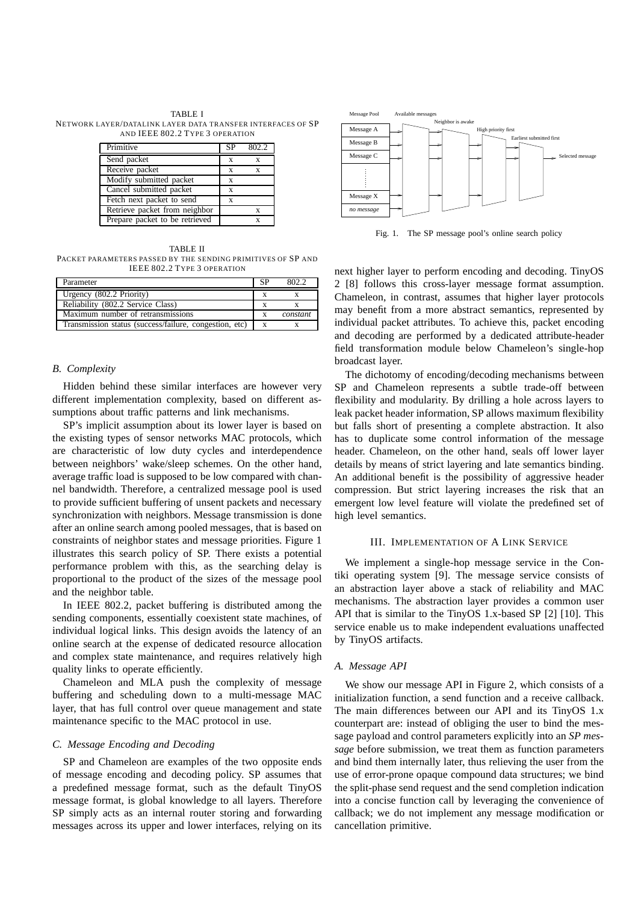TABLE I NETWORK LAYER/DATALINK LAYER DATA TRANSFER INTERFACES OF SP AND IEEE 802.2 TYPE 3 OPERATION

| Primitive                      | SP | 802.2 |
|--------------------------------|----|-------|
| Send packet                    | X  | x     |
| Receive packet                 | X  | X     |
| Modify submitted packet        | X  |       |
| Cancel submitted packet        | X  |       |
| Fetch next packet to send      | X  |       |
| Retrieve packet from neighbor  |    |       |
| Prepare packet to be retrieved |    |       |

TABLE II PACKET PARAMETERS PASSED BY THE SENDING PRIMITIVES OF SP AND IEEE 802.2 TYPE 3 OPERATION

| Parameter                                              | 802.2    |
|--------------------------------------------------------|----------|
| Urgency $(802.2 \text{ Priority})$                     |          |
| Reliability (802.2 Service Class)                      |          |
| Maximum number of retransmissions                      | constant |
| Transmission status (success/failure, congestion, etc) |          |

## *B. Complexity*

Hidden behind these similar interfaces are however very different implementation complexity, based on different assumptions about traffic patterns and link mechanisms.

SP's implicit assumption about its lower layer is based on the existing types of sensor networks MAC protocols, which are characteristic of low duty cycles and interdependence between neighbors' wake/sleep schemes. On the other hand, average traffic load is supposed to be low compared with channel bandwidth. Therefore, a centralized message pool is used to provide sufficient buffering of unsent packets and necessary synchronization with neighbors. Message transmission is done after an online search among pooled messages, that is based on constraints of neighbor states and message priorities. Figure 1 illustrates this search policy of SP. There exists a potential performance problem with this, as the searching delay is proportional to the product of the sizes of the message pool and the neighbor table.

In IEEE 802.2, packet buffering is distributed among the sending components, essentially coexistent state machines, of individual logical links. This design avoids the latency of an online search at the expense of dedicated resource allocation and complex state maintenance, and requires relatively high quality links to operate efficiently.

Chameleon and MLA push the complexity of message buffering and scheduling down to a multi-message MAC layer, that has full control over queue management and state maintenance specific to the MAC protocol in use.

# *C. Message Encoding and Decoding*

SP and Chameleon are examples of the two opposite ends of message encoding and decoding policy. SP assumes that a predefined message format, such as the default TinyOS message format, is global knowledge to all layers. Therefore SP simply acts as an internal router storing and forwarding messages across its upper and lower interfaces, relying on its



Fig. 1. The SP message pool's online search policy

next higher layer to perform encoding and decoding. TinyOS 2 [8] follows this cross-layer message format assumption. Chameleon, in contrast, assumes that higher layer protocols may benefit from a more abstract semantics, represented by individual packet attributes. To achieve this, packet encoding and decoding are performed by a dedicated attribute-header field transformation module below Chameleon's single-hop broadcast layer.

The dichotomy of encoding/decoding mechanisms between SP and Chameleon represents a subtle trade-off between flexibility and modularity. By drilling a hole across layers to leak packet header information, SP allows maximum flexibility but falls short of presenting a complete abstraction. It also has to duplicate some control information of the message header. Chameleon, on the other hand, seals off lower layer details by means of strict layering and late semantics binding. An additional benefit is the possibility of aggressive header compression. But strict layering increases the risk that an emergent low level feature will violate the predefined set of high level semantics.

#### III. IMPLEMENTATION OF A LINK SERVICE

We implement a single-hop message service in the Contiki operating system [9]. The message service consists of an abstraction layer above a stack of reliability and MAC mechanisms. The abstraction layer provides a common user API that is similar to the TinyOS 1.x-based SP [2] [10]. This service enable us to make independent evaluations unaffected by TinyOS artifacts.

## *A. Message API*

We show our message API in Figure 2, which consists of a initialization function, a send function and a receive callback. The main differences between our API and its TinyOS 1.x counterpart are: instead of obliging the user to bind the message payload and control parameters explicitly into an *SP message* before submission, we treat them as function parameters and bind them internally later, thus relieving the user from the use of error-prone opaque compound data structures; we bind the split-phase send request and the send completion indication into a concise function call by leveraging the convenience of callback; we do not implement any message modification or cancellation primitive.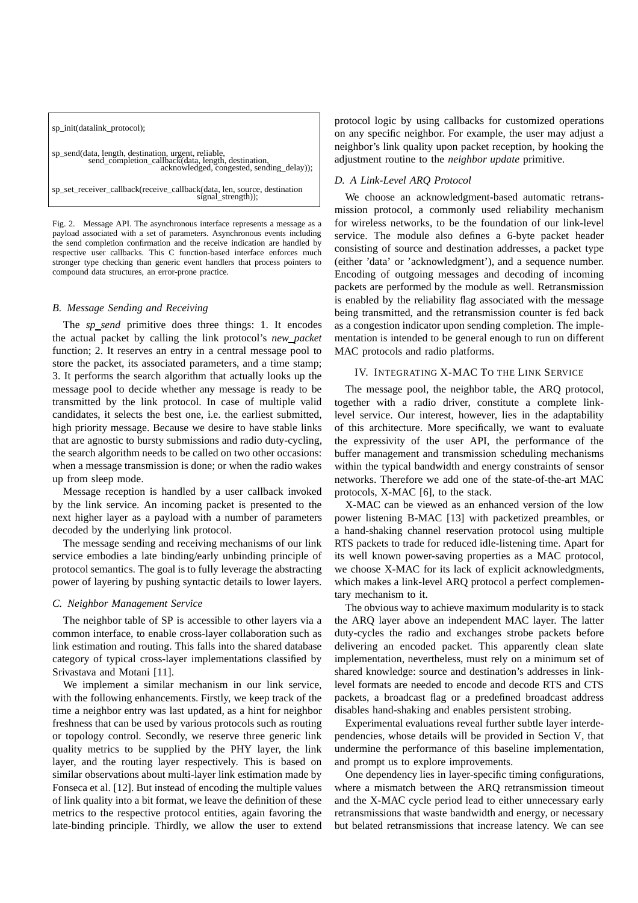

Fig. 2. Message API. The asynchronous interface represents a message as a payload associated with a set of parameters. Asynchronous events including the send completion confirmation and the receive indication are handled by respective user callbacks. This C function-based interface enforces much stronger type checking than generic event handlers that process pointers to compound data structures, an error-prone practice.

## *B. Message Sending and Receiving*

The *sp send* primitive does three things: 1. It encodes the actual packet by calling the link protocol's *new packet* function; 2. It reserves an entry in a central message pool to store the packet, its associated parameters, and a time stamp; 3. It performs the search algorithm that actually looks up the message pool to decide whether any message is ready to be transmitted by the link protocol. In case of multiple valid candidates, it selects the best one, i.e. the earliest submitted, high priority message. Because we desire to have stable links that are agnostic to bursty submissions and radio duty-cycling, the search algorithm needs to be called on two other occasions: when a message transmission is done; or when the radio wakes up from sleep mode.

Message reception is handled by a user callback invoked by the link service. An incoming packet is presented to the next higher layer as a payload with a number of parameters decoded by the underlying link protocol.

The message sending and receiving mechanisms of our link service embodies a late binding/early unbinding principle of protocol semantics. The goal is to fully leverage the abstracting power of layering by pushing syntactic details to lower layers.

## *C. Neighbor Management Service*

The neighbor table of SP is accessible to other layers via a common interface, to enable cross-layer collaboration such as link estimation and routing. This falls into the shared database category of typical cross-layer implementations classified by Srivastava and Motani [11].

We implement a similar mechanism in our link service, with the following enhancements. Firstly, we keep track of the time a neighbor entry was last updated, as a hint for neighbor freshness that can be used by various protocols such as routing or topology control. Secondly, we reserve three generic link quality metrics to be supplied by the PHY layer, the link layer, and the routing layer respectively. This is based on similar observations about multi-layer link estimation made by Fonseca et al. [12]. But instead of encoding the multiple values of link quality into a bit format, we leave the definition of these metrics to the respective protocol entities, again favoring the late-binding principle. Thirdly, we allow the user to extend protocol logic by using callbacks for customized operations on any specific neighbor. For example, the user may adjust a neighbor's link quality upon packet reception, by hooking the adjustment routine to the *neighbor update* primitive.

# *D. A Link-Level ARQ Protocol*

We choose an acknowledgment-based automatic retransmission protocol, a commonly used reliability mechanism for wireless networks, to be the foundation of our link-level service. The module also defines a 6-byte packet header consisting of source and destination addresses, a packet type (either 'data' or 'acknowledgment'), and a sequence number. Encoding of outgoing messages and decoding of incoming packets are performed by the module as well. Retransmission is enabled by the reliability flag associated with the message being transmitted, and the retransmission counter is fed back as a congestion indicator upon sending completion. The implementation is intended to be general enough to run on different MAC protocols and radio platforms.

## IV. INTEGRATING X-MAC TO THE LINK SERVICE

The message pool, the neighbor table, the ARQ protocol, together with a radio driver, constitute a complete linklevel service. Our interest, however, lies in the adaptability of this architecture. More specifically, we want to evaluate the expressivity of the user API, the performance of the buffer management and transmission scheduling mechanisms within the typical bandwidth and energy constraints of sensor networks. Therefore we add one of the state-of-the-art MAC protocols, X-MAC [6], to the stack.

X-MAC can be viewed as an enhanced version of the low power listening B-MAC [13] with packetized preambles, or a hand-shaking channel reservation protocol using multiple RTS packets to trade for reduced idle-listening time. Apart for its well known power-saving properties as a MAC protocol, we choose X-MAC for its lack of explicit acknowledgments, which makes a link-level ARQ protocol a perfect complementary mechanism to it.

The obvious way to achieve maximum modularity is to stack the ARQ layer above an independent MAC layer. The latter duty-cycles the radio and exchanges strobe packets before delivering an encoded packet. This apparently clean slate implementation, nevertheless, must rely on a minimum set of shared knowledge: source and destination's addresses in linklevel formats are needed to encode and decode RTS and CTS packets, a broadcast flag or a predefined broadcast address disables hand-shaking and enables persistent strobing.

Experimental evaluations reveal further subtle layer interdependencies, whose details will be provided in Section V, that undermine the performance of this baseline implementation, and prompt us to explore improvements.

One dependency lies in layer-specific timing configurations, where a mismatch between the ARQ retransmission timeout and the X-MAC cycle period lead to either unnecessary early retransmissions that waste bandwidth and energy, or necessary but belated retransmissions that increase latency. We can see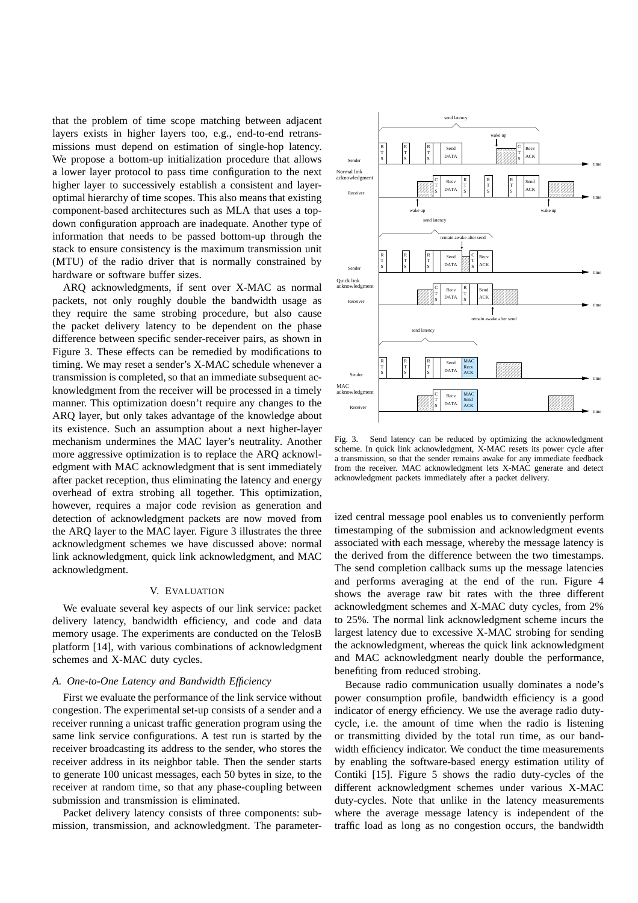that the problem of time scope matching between adjacent layers exists in higher layers too, e.g., end-to-end retransmissions must depend on estimation of single-hop latency. We propose a bottom-up initialization procedure that allows a lower layer protocol to pass time configuration to the next higher layer to successively establish a consistent and layeroptimal hierarchy of time scopes. This also means that existing component-based architectures such as MLA that uses a topdown configuration approach are inadequate. Another type of information that needs to be passed bottom-up through the stack to ensure consistency is the maximum transmission unit (MTU) of the radio driver that is normally constrained by hardware or software buffer sizes.

ARQ acknowledgments, if sent over X-MAC as normal packets, not only roughly double the bandwidth usage as they require the same strobing procedure, but also cause the packet delivery latency to be dependent on the phase difference between specific sender-receiver pairs, as shown in Figure 3. These effects can be remedied by modifications to timing. We may reset a sender's X-MAC schedule whenever a transmission is completed, so that an immediate subsequent acknowledgment from the receiver will be processed in a timely manner. This optimization doesn't require any changes to the ARQ layer, but only takes advantage of the knowledge about its existence. Such an assumption about a next higher-layer mechanism undermines the MAC layer's neutrality. Another more aggressive optimization is to replace the ARQ acknowledgment with MAC acknowledgment that is sent immediately after packet reception, thus eliminating the latency and energy overhead of extra strobing all together. This optimization, however, requires a major code revision as generation and detection of acknowledgment packets are now moved from the ARQ layer to the MAC layer. Figure 3 illustrates the three acknowledgment schemes we have discussed above: normal link acknowledgment, quick link acknowledgment, and MAC acknowledgment.

## V. EVALUATION

We evaluate several key aspects of our link service: packet delivery latency, bandwidth efficiency, and code and data memory usage. The experiments are conducted on the TelosB platform [14], with various combinations of acknowledgment schemes and X-MAC duty cycles.

## *A. One-to-One Latency and Bandwidth Efficiency*

First we evaluate the performance of the link service without congestion. The experimental set-up consists of a sender and a receiver running a unicast traffic generation program using the same link service configurations. A test run is started by the receiver broadcasting its address to the sender, who stores the receiver address in its neighbor table. Then the sender starts to generate 100 unicast messages, each 50 bytes in size, to the receiver at random time, so that any phase-coupling between submission and transmission is eliminated.

Packet delivery latency consists of three components: submission, transmission, and acknowledgment. The parameter-



Fig. 3. Send latency can be reduced by optimizing the acknowledgment scheme. In quick link acknowledgment, X-MAC resets its power cycle after a transmission, so that the sender remains awake for any immediate feedback from the receiver. MAC acknowledgment lets X-MAC generate and detect acknowledgment packets immediately after a packet delivery.

ized central message pool enables us to conveniently perform timestamping of the submission and acknowledgment events associated with each message, whereby the message latency is the derived from the difference between the two timestamps. The send completion callback sums up the message latencies and performs averaging at the end of the run. Figure 4 shows the average raw bit rates with the three different acknowledgment schemes and X-MAC duty cycles, from 2% to 25%. The normal link acknowledgment scheme incurs the largest latency due to excessive X-MAC strobing for sending the acknowledgment, whereas the quick link acknowledgment and MAC acknowledgment nearly double the performance, benefiting from reduced strobing.

Because radio communication usually dominates a node's power consumption profile, bandwidth efficiency is a good indicator of energy efficiency. We use the average radio dutycycle, i.e. the amount of time when the radio is listening or transmitting divided by the total run time, as our bandwidth efficiency indicator. We conduct the time measurements by enabling the software-based energy estimation utility of Contiki [15]. Figure 5 shows the radio duty-cycles of the different acknowledgment schemes under various X-MAC duty-cycles. Note that unlike in the latency measurements where the average message latency is independent of the traffic load as long as no congestion occurs, the bandwidth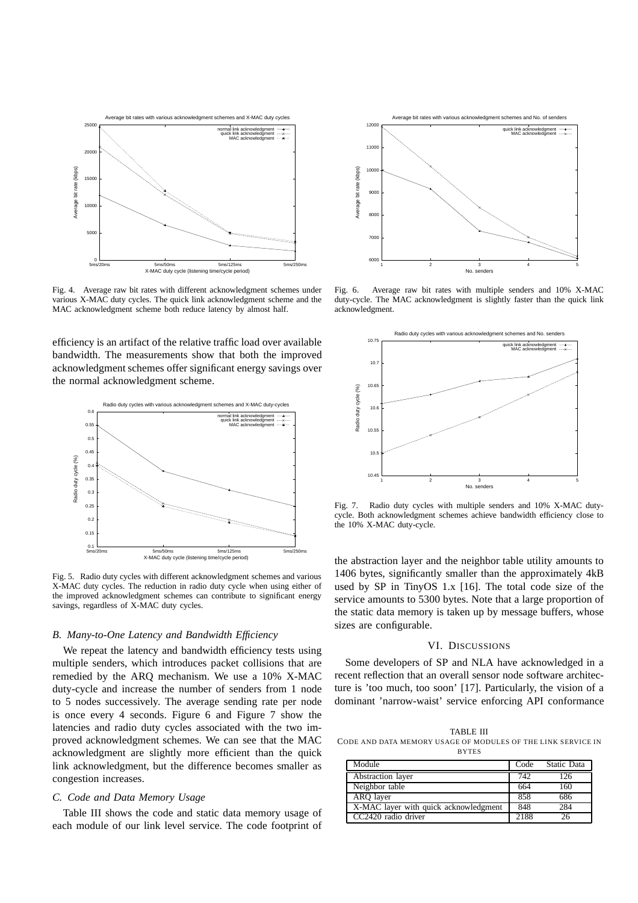

Fig. 4. Average raw bit rates with different acknowledgment schemes under various X-MAC duty cycles. The quick link acknowledgment scheme and the MAC acknowledgment scheme both reduce latency by almost half.

efficiency is an artifact of the relative traffic load over available bandwidth. The measurements show that both the improved acknowledgment schemes offer significant energy savings over the normal acknowledgment scheme.



Fig. 5. Radio duty cycles with different acknowledgment schemes and various X-MAC duty cycles. The reduction in radio duty cycle when using either of the improved acknowledgment schemes can contribute to significant energy savings, regardless of X-MAC duty cycles.

## *B. Many-to-One Latency and Bandwidth Efficiency*

We repeat the latency and bandwidth efficiency tests using multiple senders, which introduces packet collisions that are remedied by the ARQ mechanism. We use a 10% X-MAC duty-cycle and increase the number of senders from 1 node to 5 nodes successively. The average sending rate per node is once every 4 seconds. Figure 6 and Figure 7 show the latencies and radio duty cycles associated with the two improved acknowledgment schemes. We can see that the MAC acknowledgment are slightly more efficient than the quick link acknowledgment, but the difference becomes smaller as congestion increases.

## *C. Code and Data Memory Usage*

Table III shows the code and static data memory usage of each module of our link level service. The code footprint of



Fig. 6. Average raw bit rates with multiple senders and 10% X-MAC duty-cycle. The MAC acknowledgment is slightly faster than the quick link acknowledgment.



Fig. 7. Radio duty cycles with multiple senders and 10% X-MAC dutycycle. Both acknowledgment schemes achieve bandwidth efficiency close to the 10% X-MAC duty-cycle.

the abstraction layer and the neighbor table utility amounts to 1406 bytes, significantly smaller than the approximately 4kB used by SP in TinyOS 1.x [16]. The total code size of the service amounts to 5300 bytes. Note that a large proportion of the static data memory is taken up by message buffers, whose sizes are configurable.

## VI. DISCUSSIONS

Some developers of SP and NLA have acknowledged in a recent reflection that an overall sensor node software architecture is 'too much, too soon' [17]. Particularly, the vision of a dominant 'narrow-waist' service enforcing API conformance

TABLE III CODE AND DATA MEMORY USAGE OF MODULES OF THE LINK SERVICE IN BYTES

| Module                                | Code | Static Data |
|---------------------------------------|------|-------------|
| Abstraction layer                     | 742  | 126         |
| Neighbor table                        | 664  | 160         |
| ARO layer                             | 858  | 686         |
| X-MAC layer with quick acknowledgment | 848  | 284         |
| CC2420 radio driver                   | 2188 | 26          |